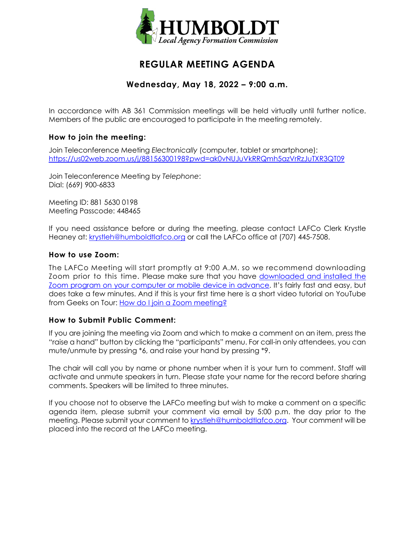

# **REGULAR MEETING AGENDA**

## **Wednesday, May 18, 2022 – 9:00 a.m.**

In accordance with AB 361 Commission meetings will be held virtually until further notice. Members of the public are encouraged to participate in the meeting remotely.

## **How to join the meeting:**

Join Teleconference Meeting *Electronically* (computer, tablet or smartphone): <https://us02web.zoom.us/j/88156300198?pwd=ak0vNUJuVkRRQmh5azVrRzJuTXR3QT09>

Join Teleconference Meeting by *Telephone*: Dial: (669) 900-6833

Meeting ID: 881 5630 0198 Meeting Passcode: 448465

If you need assistance before or during the meeting, please contact LAFCo Clerk Krystle Heaney at: [krystleh@humboldtlafco.org](mailto:krystleh@humboldtlafco.org) or call the LAFCo office at (707) 445-7508.

#### **How to use Zoom:**

The LAFCo Meeting will start promptly at 9:00 A.M. so we recommend downloading Zoom prior to this time. Please make sure that you have [downloaded and installed the](https://zoom.us/download)  [Zoom program on your computer or mobile device in advance.](https://zoom.us/download) It's fairly fast and easy, but does take a few minutes. And if this is your first time here is a short video tutorial on YouTube from Geeks on Tour: [How do I join a Zoom meeting?](https://www.youtube.com/watch?v=kh50kVaIdAY)

### **How to Submit Public Comment:**

If you are joining the meeting via Zoom and which to make a comment on an item, press the "raise a hand" button by clicking the "participants" menu. For call-in only attendees, you can mute/unmute by pressing \*6, and raise your hand by pressing \*9.

The chair will call you by name or phone number when it is your turn to comment. Staff will activate and unmute speakers in turn. Please state your name for the record before sharing comments. Speakers will be limited to three minutes.

If you choose not to observe the LAFCo meeting but wish to make a comment on a specific agenda item, please submit your comment via email by 5:00 p.m. the day prior to the meeting. Please submit your comment to [krystleh@humboldtlafco.org.](mailto:krystleh@humboldtlafco.org) Your comment will be placed into the record at the LAFCo meeting.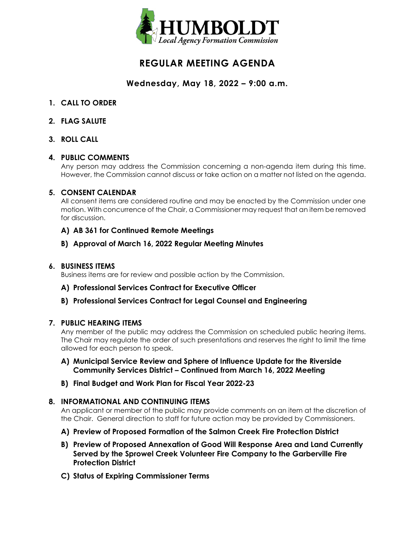

# **REGULAR MEETING AGENDA**

## **Wednesday, May 18, 2022 – 9:00 a.m.**

- **1. CALL TO ORDER**
- **2. FLAG SALUTE**
- **3. ROLL CALL**

### **4. PUBLIC COMMENTS**

Any person may address the Commission concerning a non-agenda item during this time. However, the Commission cannot discuss or take action on a matter not listed on the agenda.

### **5. CONSENT CALENDAR**

All consent items are considered routine and may be enacted by the Commission under one motion. With concurrence of the Chair, a Commissioner may request that an item be removed for discussion.

### **A) AB 361 for Continued Remote Meetings**

### **B) Approval of March 16, 2022 Regular Meeting Minutes**

#### **6. BUSINESS ITEMS**

Business items are for review and possible action by the Commission.

### **A) Professional Services Contract for Executive Officer**

### **B) Professional Services Contract for Legal Counsel and Engineering**

### **7. PUBLIC HEARING ITEMS**

Any member of the public may address the Commission on scheduled public hearing items. The Chair may regulate the order of such presentations and reserves the right to limit the time allowed for each person to speak.

- **A) Municipal Service Review and Sphere of Influence Update for the Riverside Community Services District – Continued from March 16, 2022 Meeting**
- **B) Final Budget and Work Plan for Fiscal Year 2022-23**

### **8. INFORMATIONAL AND CONTINUING ITEMS**

An applicant or member of the public may provide comments on an item at the discretion of the Chair. General direction to staff for future action may be provided by Commissioners.

- **A) Preview of Proposed Formation of the Salmon Creek Fire Protection District**
- **B) Preview of Proposed Annexation of Good Will Response Area and Land Currently Served by the Sprowel Creek Volunteer Fire Company to the Garberville Fire Protection District**
- **C) Status of Expiring Commissioner Terms**